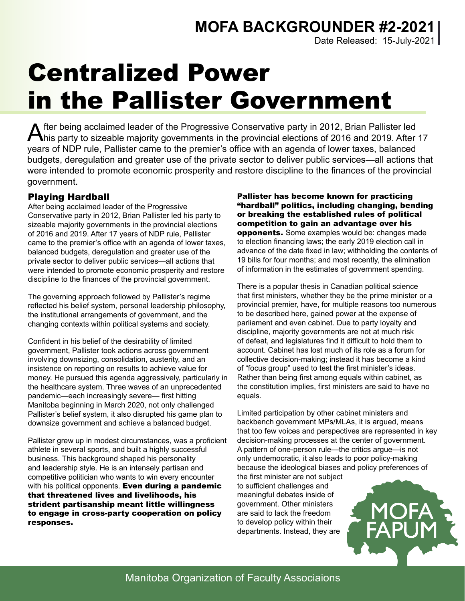Date Released: 15-July-2021

# Centralized Power in the Pallister Government

After being acclaimed leader of the Progressive Conservative party in 2012, Brian Pallister led<br>his party to sizeable majority governments in the provincial elections of 2016 and 2019. After 17 years of NDP rule, Pallister came to the premier's office with an agenda of lower taxes, balanced budgets, deregulation and greater use of the private sector to deliver public services—all actions that were intended to promote economic prosperity and restore discipline to the finances of the provincial government.

## Playing Hardball

After being acclaimed leader of the Progressive Conservative party in 2012, Brian Pallister led his party to sizeable majority governments in the provincial elections of 2016 and 2019. After 17 years of NDP rule, Pallister came to the premier's office with an agenda of lower taxes, balanced budgets, deregulation and greater use of the private sector to deliver public services—all actions that were intended to promote economic prosperity and restore discipline to the finances of the provincial government.

The governing approach followed by Pallister's regime reflected his belief system, personal leadership philosophy, the institutional arrangements of government, and the changing contexts within political systems and society.

Confident in his belief of the desirability of limited government, Pallister took actions across government involving downsizing, consolidation, austerity, and an insistence on reporting on results to achieve value for money. He pursued this agenda aggressively, particularly in the healthcare system. Three waves of an unprecedented pandemic—each increasingly severe— first hitting Manitoba beginning in March 2020, not only challenged Pallister's belief system, it also disrupted his game plan to downsize government and achieve a balanced budget.

Pallister grew up in modest circumstances, was a proficient athlete in several sports, and built a highly successful business. This background shaped his personality and leadership style. He is an intensely partisan and competitive politician who wants to win every encounter with his political opponents. Even during a pandemic that threatened lives and livelihoods, his strident partisanship meant little willingness to engage in cross-party cooperation on policy responses.

Pallister has become known for practicing "hardball" politics, including changing, bending or breaking the established rules of political competition to gain an advantage over his opponents. Some examples would be: changes made to election financing laws; the early 2019 election call in advance of the date fixed in law; withholding the contents of 19 bills for four months; and most recently, the elimination of information in the estimates of government spending.

There is a popular thesis in Canadian political science that first ministers, whether they be the prime minister or a provincial premier, have, for multiple reasons too numerous to be described here, gained power at the expense of parliament and even cabinet. Due to party loyalty and discipline, majority governments are not at much risk of defeat, and legislatures find it difficult to hold them to account. Cabinet has lost much of its role as a forum for collective decision-making; instead it has become a kind of "focus group" used to test the first minister's ideas. Rather than being first among equals within cabinet, as the constitution implies, first ministers are said to have no equals.

Limited participation by other cabinet ministers and backbench government MPs/MLAs, it is argued, means that too few voices and perspectives are represented in key decision-making processes at the center of government. A pattern of one-person rule—the critics argue—is not only undemocratic, it also leads to poor policy-making because the ideological biases and policy preferences of

the first minister are not subject to sufficient challenges and meaningful debates inside of government. Other ministers are said to lack the freedom to develop policy within their departments. Instead, they are



Manitoba Organization of Faculty Associaions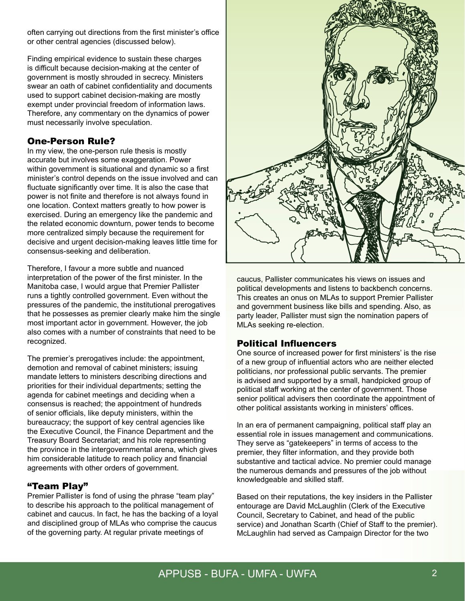often carrying out directions from the first minister's office or other central agencies (discussed below).

Finding empirical evidence to sustain these charges is difficult because decision-making at the center of government is mostly shrouded in secrecy. Ministers swear an oath of cabinet confidentiality and documents used to support cabinet decision-making are mostly exempt under provincial freedom of information laws. Therefore, any commentary on the dynamics of power must necessarily involve speculation.

### One-Person Rule?

In my view, the one-person rule thesis is mostly accurate but involves some exaggeration. Power within government is situational and dynamic so a first minister's control depends on the issue involved and can fluctuate significantly over time. It is also the case that power is not finite and therefore is not always found in one location. Context matters greatly to how power is exercised. During an emergency like the pandemic and the related economic downturn, power tends to become more centralized simply because the requirement for decisive and urgent decision-making leaves little time for consensus-seeking and deliberation.

Therefore, I favour a more subtle and nuanced interpretation of the power of the first minister. In the Manitoba case, I would argue that Premier Pallister runs a tightly controlled government. Even without the pressures of the pandemic, the institutional prerogatives that he possesses as premier clearly make him the single most important actor in government. However, the job also comes with a number of constraints that need to be recognized.

The premier's prerogatives include: the appointment, demotion and removal of cabinet ministers; issuing mandate letters to ministers describing directions and priorities for their individual departments; setting the agenda for cabinet meetings and deciding when a consensus is reached; the appointment of hundreds of senior officials, like deputy ministers, within the bureaucracy; the support of key central agencies like the Executive Council, the Finance Department and the Treasury Board Secretariat; and his role representing the province in the intergovernmental arena, which gives him considerable latitude to reach policy and financial agreements with other orders of government.

### "Team Play"

Premier Pallister is fond of using the phrase "team play" to describe his approach to the political management of cabinet and caucus. In fact, he has the backing of a loyal and disciplined group of MLAs who comprise the caucus of the governing party. At regular private meetings of



caucus, Pallister communicates his views on issues and political developments and listens to backbench concerns. This creates an onus on MLAs to support Premier Pallister and government business like bills and spending. Also, as party leader, Pallister must sign the nomination papers of MLAs seeking re-election.

### Political Influencers

One source of increased power for first ministers' is the rise of a new group of influential actors who are neither elected politicians, nor professional public servants. The premier is advised and supported by a small, handpicked group of political staff working at the center of government. Those senior political advisers then coordinate the appointment of other political assistants working in ministers' offices.

In an era of permanent campaigning, political staff play an essential role in issues management and communications. They serve as "gatekeepers" in terms of access to the premier, they filter information, and they provide both substantive and tactical advice. No premier could manage the numerous demands and pressures of the job without knowledgeable and skilled staff.

Based on their reputations, the key insiders in the Pallister entourage are David McLaughlin (Clerk of the Executive Council, Secretary to Cabinet, and head of the public service) and Jonathan Scarth (Chief of Staff to the premier). McLaughlin had served as Campaign Director for the two